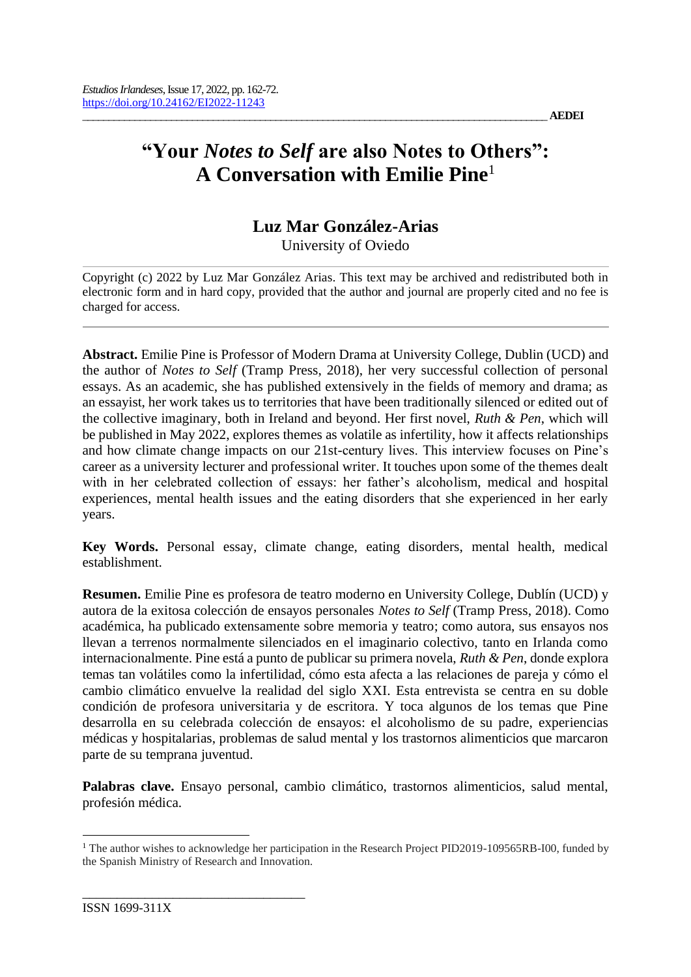# **"Your** *Notes to Self* **are also Notes to Others": A Conversation with Emilie Pine**<sup>1</sup>

# **Luz Mar González-Arias**

University of Oviedo

Copyright (c) 2022 by Luz Mar González Arias. This text may be archived and redistributed both in electronic form and in hard copy, provided that the author and journal are properly cited and no fee is charged for access.

**Abstract.** Emilie Pine is Professor of Modern Drama at University College, Dublin (UCD) and the author of *Notes to Self* (Tramp Press, 2018), her very successful collection of personal essays. As an academic, she has published extensively in the fields of memory and drama; as an essayist, her work takes us to territories that have been traditionally silenced or edited out of the collective imaginary, both in Ireland and beyond. Her first novel, *Ruth & Pen*, which will be published in May 2022, explores themes as volatile as infertility, how it affects relationships and how climate change impacts on our 21st-century lives. This interview focuses on Pine's career as a university lecturer and professional writer. It touches upon some of the themes dealt with in her celebrated collection of essays: her father's alcoholism, medical and hospital experiences, mental health issues and the eating disorders that she experienced in her early years.

**Key Words.** Personal essay, climate change, eating disorders, mental health, medical establishment.

**Resumen.** Emilie Pine es profesora de teatro moderno en University College, Dublín (UCD) y autora de la exitosa colección de ensayos personales *Notes to Self* (Tramp Press, 2018). Como académica, ha publicado extensamente sobre memoria y teatro; como autora, sus ensayos nos llevan a terrenos normalmente silenciados en el imaginario colectivo, tanto en Irlanda como internacionalmente. Pine está a punto de publicar su primera novela, *Ruth & Pen*, donde explora temas tan volátiles como la infertilidad, cómo esta afecta a las relaciones de pareja y cómo el cambio climático envuelve la realidad del siglo XXI. Esta entrevista se centra en su doble condición de profesora universitaria y de escritora. Y toca algunos de los temas que Pine desarrolla en su celebrada colección de ensayos: el alcoholismo de su padre, experiencias médicas y hospitalarias, problemas de salud mental y los trastornos alimenticios que marcaron parte de su temprana juventud.

**Palabras clave.** Ensayo personal, cambio climático, trastornos alimenticios, salud mental, profesión médica.

\_\_\_\_\_\_\_\_\_\_\_\_\_\_\_\_\_\_\_\_\_\_\_\_\_\_\_\_\_\_\_\_

<sup>&</sup>lt;sup>1</sup> The author wishes to acknowledge her participation in the Research Project PID2019-109565RB-I00, funded by the Spanish Ministry of Research and Innovation.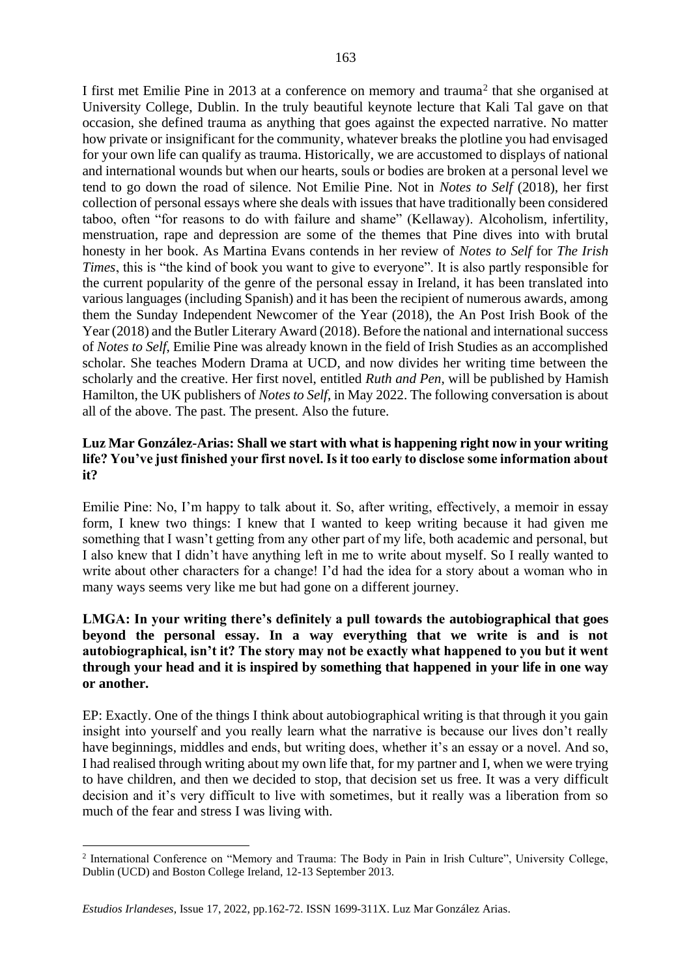I first met Emilie Pine in 2013 at a conference on memory and trauma<sup>2</sup> that she organised at University College, Dublin. In the truly beautiful keynote lecture that Kali Tal gave on that occasion, she defined trauma as anything that goes against the expected narrative. No matter how private or insignificant for the community, whatever breaks the plotline you had envisaged for your own life can qualify as trauma. Historically, we are accustomed to displays of national and international wounds but when our hearts, souls or bodies are broken at a personal level we tend to go down the road of silence. Not Emilie Pine. Not in *Notes to Self* (2018), her first collection of personal essays where she deals with issues that have traditionally been considered taboo, often "for reasons to do with failure and shame" (Kellaway). Alcoholism, infertility, menstruation, rape and depression are some of the themes that Pine dives into with brutal honesty in her book. As Martina Evans contends in her review of *Notes to Self* for *The Irish Times*, this is "the kind of book you want to give to everyone". It is also partly responsible for the current popularity of the genre of the personal essay in Ireland, it has been translated into various languages (including Spanish) and it has been the recipient of numerous awards, among them the Sunday Independent Newcomer of the Year (2018), the An Post Irish Book of the Year (2018) and the Butler Literary Award (2018). Before the national and international success of *Notes to Self*, Emilie Pine was already known in the field of Irish Studies as an accomplished scholar. She teaches Modern Drama at UCD, and now divides her writing time between the scholarly and the creative. Her first novel, entitled *Ruth and Pen*, will be published by Hamish Hamilton, the UK publishers of *Notes to Self*, in May 2022. The following conversation is about all of the above. The past. The present. Also the future.

#### **Luz Mar González-Arias: Shall we start with what is happening right now in your writing life? You've just finished your first novel. Is it too early to disclose some information about it?**

Emilie Pine: No, I'm happy to talk about it. So, after writing, effectively, a memoir in essay form, I knew two things: I knew that I wanted to keep writing because it had given me something that I wasn't getting from any other part of my life, both academic and personal, but I also knew that I didn't have anything left in me to write about myself. So I really wanted to write about other characters for a change! I'd had the idea for a story about a woman who in many ways seems very like me but had gone on a different journey.

#### **LMGA: In your writing there's definitely a pull towards the autobiographical that goes beyond the personal essay. In a way everything that we write is and is not autobiographical, isn't it? The story may not be exactly what happened to you but it went through your head and it is inspired by something that happened in your life in one way or another.**

EP: Exactly. One of the things I think about autobiographical writing is that through it you gain insight into yourself and you really learn what the narrative is because our lives don't really have beginnings, middles and ends, but writing does, whether it's an essay or a novel. And so, I had realised through writing about my own life that, for my partner and I, when we were trying to have children, and then we decided to stop, that decision set us free. It was a very difficult decision and it's very difficult to live with sometimes, but it really was a liberation from so much of the fear and stress I was living with.

<sup>&</sup>lt;sup>2</sup> International Conference on "Memory and Trauma: The Body in Pain in Irish Culture", University College, Dublin (UCD) and Boston College Ireland, 12-13 September 2013.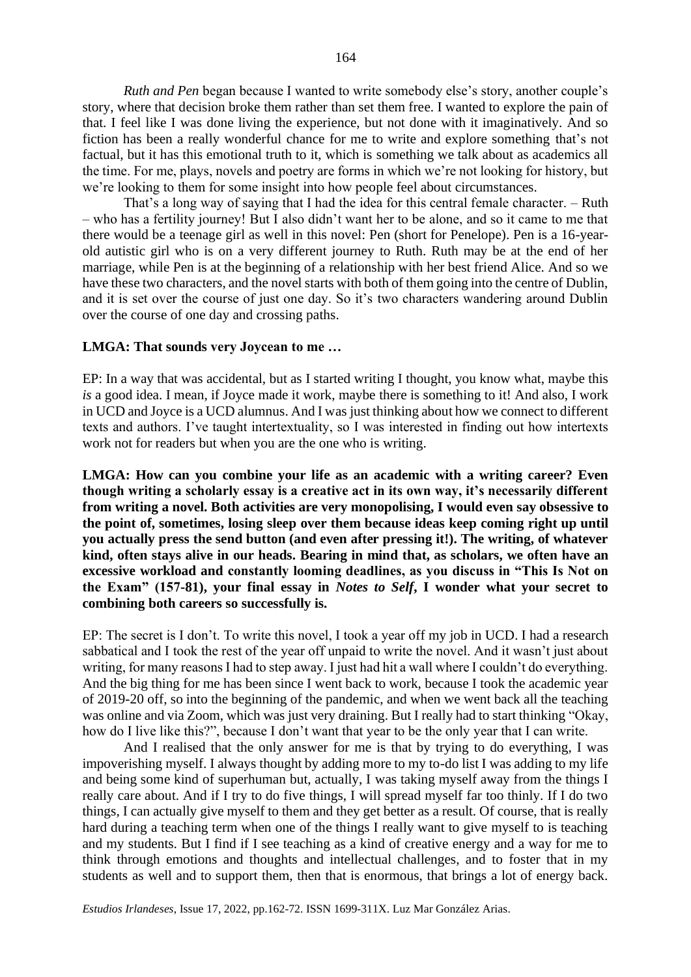*Ruth and Pen* began because I wanted to write somebody else's story, another couple's story, where that decision broke them rather than set them free. I wanted to explore the pain of that. I feel like I was done living the experience, but not done with it imaginatively. And so fiction has been a really wonderful chance for me to write and explore something that's not factual, but it has this emotional truth to it, which is something we talk about as academics all the time. For me, plays, novels and poetry are forms in which we're not looking for history, but we're looking to them for some insight into how people feel about circumstances.

That's a long way of saying that I had the idea for this central female character. – Ruth – who has a fertility journey! But I also didn't want her to be alone, and so it came to me that there would be a teenage girl as well in this novel: Pen (short for Penelope). Pen is a 16-yearold autistic girl who is on a very different journey to Ruth. Ruth may be at the end of her marriage, while Pen is at the beginning of a relationship with her best friend Alice. And so we have these two characters, and the novel starts with both of them going into the centre of Dublin, and it is set over the course of just one day. So it's two characters wandering around Dublin over the course of one day and crossing paths.

#### **LMGA: That sounds very Joycean to me …**

EP: In a way that was accidental, but as I started writing I thought, you know what, maybe this *is* a good idea. I mean, if Joyce made it work, maybe there is something to it! And also, I work in UCD and Joyce is a UCD alumnus. And I was just thinking about how we connect to different texts and authors. I've taught intertextuality, so I was interested in finding out how intertexts work not for readers but when you are the one who is writing.

**LMGA: How can you combine your life as an academic with a writing career? Even though writing a scholarly essay is a creative act in its own way, it's necessarily different from writing a novel. Both activities are very monopolising, I would even say obsessive to the point of, sometimes, losing sleep over them because ideas keep coming right up until you actually press the send button (and even after pressing it!). The writing, of whatever kind, often stays alive in our heads. Bearing in mind that, as scholars, we often have an excessive workload and constantly looming deadlines, as you discuss in "This Is Not on the Exam" (157-81), your final essay in** *Notes to Self***, I wonder what your secret to combining both careers so successfully is.**

EP: The secret is I don't. To write this novel, I took a year off my job in UCD. I had a research sabbatical and I took the rest of the year off unpaid to write the novel. And it wasn't just about writing, for many reasons I had to step away. I just had hit a wall where I couldn't do everything. And the big thing for me has been since I went back to work, because I took the academic year of 2019-20 off, so into the beginning of the pandemic, and when we went back all the teaching was online and via Zoom, which was just very draining. But I really had to start thinking "Okay, how do I live like this?", because I don't want that year to be the only year that I can write.

And I realised that the only answer for me is that by trying to do everything, I was impoverishing myself. I always thought by adding more to my to-do list I was adding to my life and being some kind of superhuman but, actually, I was taking myself away from the things I really care about. And if I try to do five things, I will spread myself far too thinly. If I do two things, I can actually give myself to them and they get better as a result. Of course, that is really hard during a teaching term when one of the things I really want to give myself to is teaching and my students. But I find if I see teaching as a kind of creative energy and a way for me to think through emotions and thoughts and intellectual challenges, and to foster that in my students as well and to support them, then that is enormous, that brings a lot of energy back.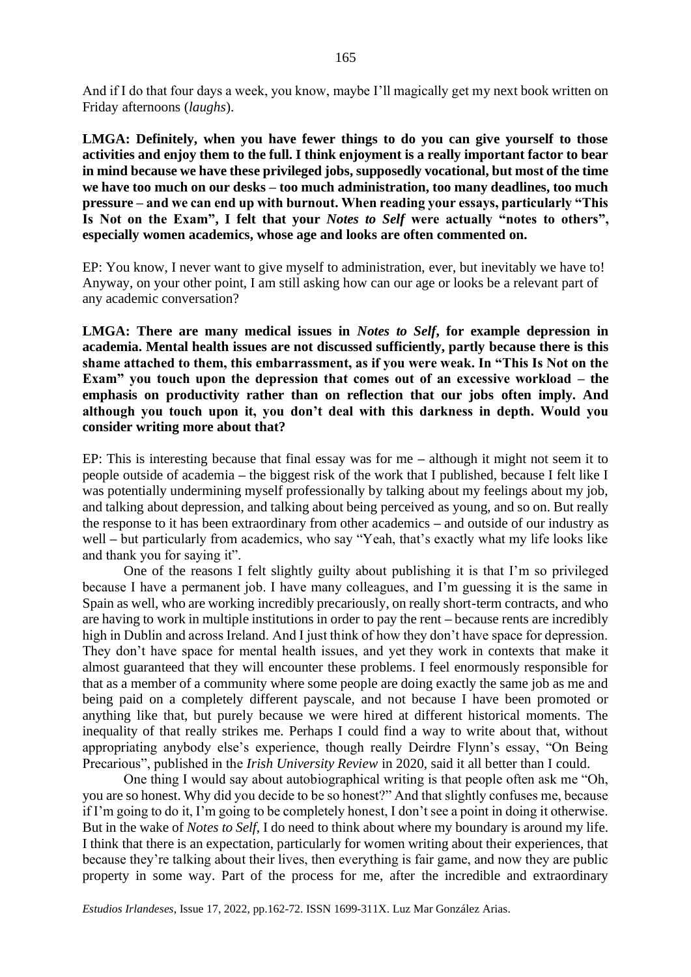And if I do that four days a week, you know, maybe I'll magically get my next book written on Friday afternoons (*laughs*).

**LMGA: Definitely, when you have fewer things to do you can give yourself to those activities and enjoy them to the full. I think enjoyment is a really important factor to bear in mind because we have these privileged jobs, supposedly vocational, but most of the time we have too much on our desks – too much administration, too many deadlines, too much pressure – and we can end up with burnout. When reading your essays, particularly "This Is Not on the Exam", I felt that your** *Notes to Self* **were actually "notes to others", especially women academics, whose age and looks are often commented on.**

EP: You know, I never want to give myself to administration, ever, but inevitably we have to! Anyway, on your other point, I am still asking how can our age or looks be a relevant part of any academic conversation?

**LMGA: There are many medical issues in** *Notes to Self***, for example depression in academia. Mental health issues are not discussed sufficiently, partly because there is this shame attached to them, this embarrassment, as if you were weak. In "This Is Not on the Exam" you touch upon the depression that comes out of an excessive workload – the emphasis on productivity rather than on reflection that our jobs often imply. And although you touch upon it, you don't deal with this darkness in depth. Would you consider writing more about that?**

EP: This is interesting because that final essay was for me **–** although it might not seem it to people outside of academia **–** the biggest risk of the work that I published, because I felt like I was potentially undermining myself professionally by talking about my feelings about my job, and talking about depression, and talking about being perceived as young, and so on. But really the response to it has been extraordinary from other academics **–** and outside of our industry as well **–** but particularly from academics, who say "Yeah, that's exactly what my life looks like and thank you for saying it".

One of the reasons I felt slightly guilty about publishing it is that I'm so privileged because I have a permanent job. I have many colleagues, and I'm guessing it is the same in Spain as well, who are working incredibly precariously, on really short-term contracts, and who are having to work in multiple institutions in order to pay the rent **–** because rents are incredibly high in Dublin and across Ireland. And I just think of how they don't have space for depression. They don't have space for mental health issues, and yet they work in contexts that make it almost guaranteed that they will encounter these problems. I feel enormously responsible for that as a member of a community where some people are doing exactly the same job as me and being paid on a completely different payscale, and not because I have been promoted or anything like that, but purely because we were hired at different historical moments. The inequality of that really strikes me. Perhaps I could find a way to write about that, without appropriating anybody else's experience, though really Deirdre Flynn's essay, "On Being Precarious", published in the *Irish University Review* in 2020, said it all better than I could.

One thing I would say about autobiographical writing is that people often ask me "Oh, you are so honest. Why did you decide to be so honest?" And that slightly confuses me, because if I'm going to do it, I'm going to be completely honest, I don't see a point in doing it otherwise. But in the wake of *Notes to Self*, I do need to think about where my boundary is around my life. I think that there is an expectation, particularly for women writing about their experiences, that because they're talking about their lives, then everything is fair game, and now they are public property in some way. Part of the process for me, after the incredible and extraordinary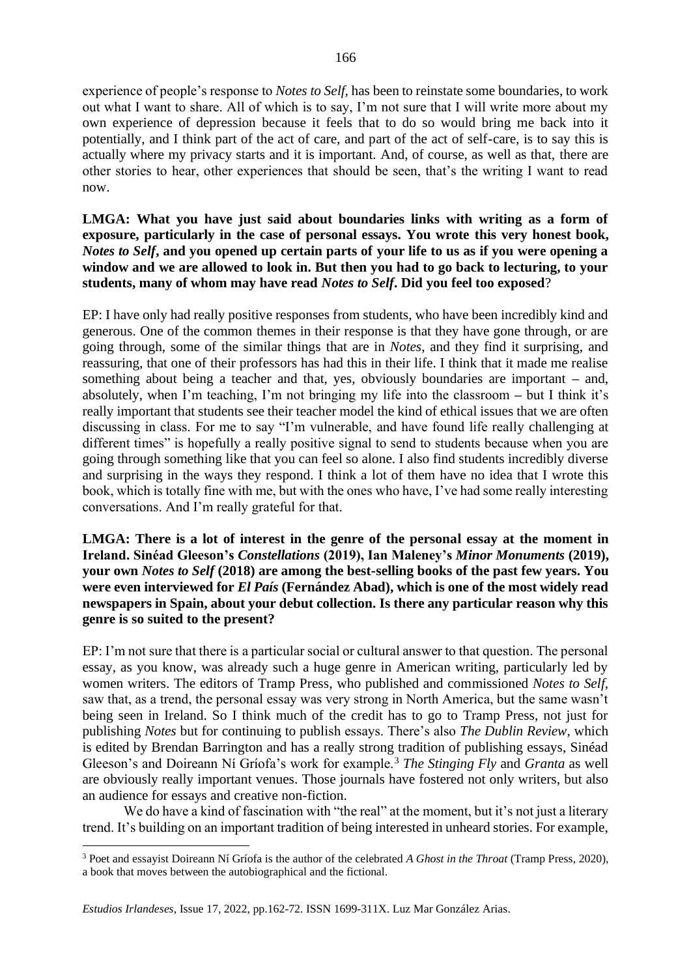experience of people's response to *Notes to Self,* has been to reinstate some boundaries, to work out what I want to share. All of which is to say, I'm not sure that I will write more about my own experience of depression because it feels that to do so would bring me back into it potentially, and I think part of the act of care, and part of the act of self-care, is to say this is actually where my privacy starts and it is important. And, of course, as well as that, there are other stories to hear, other experiences that should be seen, that's the writing I want to read now.

**LMGA: What you have just said about boundaries links with writing as a form of exposure, particularly in the case of personal essays. You wrote this very honest book,**  *Notes to Self***, and you opened up certain parts of your life to us as if you were opening a window and we are allowed to look in. But then you had to go back to lecturing, to your students, many of whom may have read** *Notes to Self***. Did you feel too exposed**?

EP: I have only had really positive responses from students, who have been incredibly kind and generous. One of the common themes in their response is that they have gone through, or are going through, some of the similar things that are in *Notes*, and they find it surprising, and reassuring, that one of their professors has had this in their life. I think that it made me realise something about being a teacher and that, yes, obviously boundaries are important **–** and, absolutely, when I'm teaching, I'm not bringing my life into the classroom **–** but I think it's really important that students see their teacher model the kind of ethical issues that we are often discussing in class. For me to say "I'm vulnerable, and have found life really challenging at different times" is hopefully a really positive signal to send to students because when you are going through something like that you can feel so alone. I also find students incredibly diverse and surprising in the ways they respond. I think a lot of them have no idea that I wrote this book, which is totally fine with me, but with the ones who have, I've had some really interesting conversations. And I'm really grateful for that.

**LMGA: There is a lot of interest in the genre of the personal essay at the moment in Ireland. Sinéad Gleeson's** *Constellations* **(2019), Ian Maleney's** *Minor Monuments* **(2019), your own** *Notes to Self* **(2018) are among the best-selling books of the past few years. You were even interviewed for** *El País* **(Fernández Abad), which is one of the most widely read newspapers in Spain, about your debut collection. Is there any particular reason why this genre is so suited to the present?**

EP: I'm not sure that there is a particular social or cultural answer to that question. The personal essay, as you know, was already such a huge genre in American writing, particularly led by women writers. The editors of Tramp Press, who published and commissioned *Notes to Self,*  saw that, as a trend, the personal essay was very strong in North America, but the same wasn't being seen in Ireland. So I think much of the credit has to go to Tramp Press, not just for publishing *Notes* but for continuing to publish essays. There's also *The Dublin Review*, which is edited by Brendan Barrington and has a really strong tradition of publishing essays, Sinéad Gleeson's and Doireann Ní Gríofa's work for example.<sup>3</sup> *The Stinging Fly* and *Granta* as well are obviously really important venues. Those journals have fostered not only writers, but also an audience for essays and creative non-fiction.

We do have a kind of fascination with "the real" at the moment, but it's not just a literary trend. It's building on an important tradition of being interested in unheard stories. For example,

166

<sup>3</sup> Poet and essayist Doireann Ní Gríofa is the author of the celebrated *A Ghost in the Throat* (Tramp Press, 2020), a book that moves between the autobiographical and the fictional.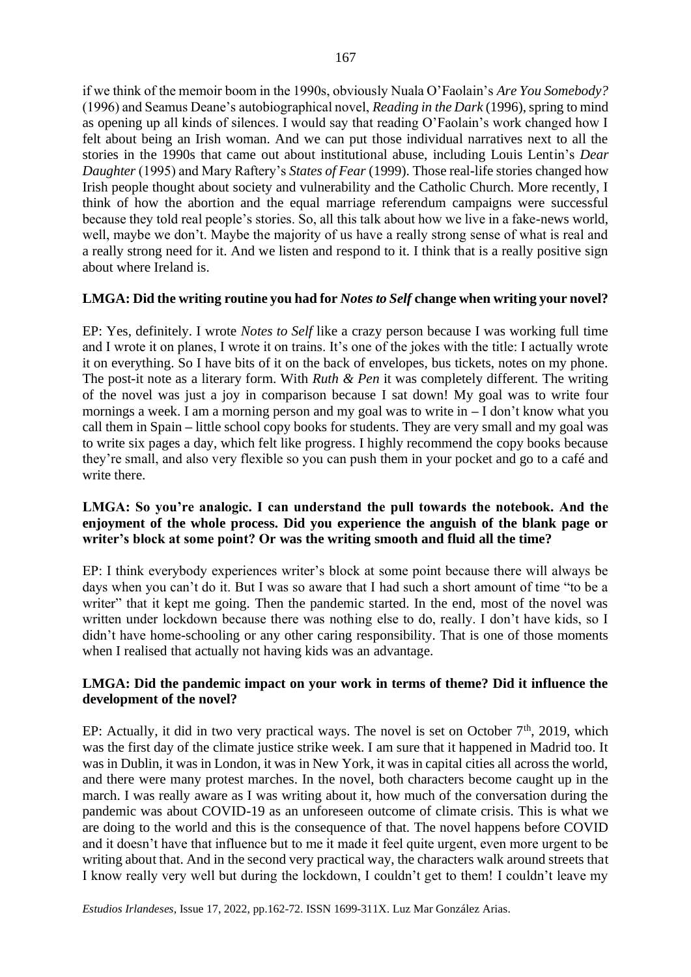if we think of the memoir boom in the 1990s, obviously Nuala O'Faolain's *Are You Somebody?* (1996) and Seamus Deane's autobiographical novel, *Reading in the Dark* (1996), spring to mind as opening up all kinds of silences. I would say that reading O'Faolain's work changed how I felt about being an Irish woman. And we can put those individual narratives next to all the stories in the 1990s that came out about institutional abuse, including Louis Lentin's *Dear Daughter* (1995) and Mary Raftery's *States of Fear* (1999). Those real-life stories changed how Irish people thought about society and vulnerability and the Catholic Church. More recently, I think of how the abortion and the equal marriage referendum campaigns were successful because they told real people's stories. So, all this talk about how we live in a fake-news world, well, maybe we don't. Maybe the majority of us have a really strong sense of what is real and a really strong need for it. And we listen and respond to it. I think that is a really positive sign about where Ireland is.

#### **LMGA: Did the writing routine you had for** *Notes to Self* **change when writing your novel?**

EP: Yes, definitely. I wrote *Notes to Self* like a crazy person because I was working full time and I wrote it on planes, I wrote it on trains. It's one of the jokes with the title: I actually wrote it on everything. So I have bits of it on the back of envelopes, bus tickets, notes on my phone. The post-it note as a literary form. With *Ruth & Pen* it was completely different. The writing of the novel was just a joy in comparison because I sat down! My goal was to write four mornings a week. I am a morning person and my goal was to write in **–** I don't know what you call them in Spain **–** little school copy books for students. They are very small and my goal was to write six pages a day, which felt like progress. I highly recommend the copy books because they're small, and also very flexible so you can push them in your pocket and go to a café and write there.

#### **LMGA: So you're analogic. I can understand the pull towards the notebook. And the enjoyment of the whole process. Did you experience the anguish of the blank page or writer's block at some point? Or was the writing smooth and fluid all the time?**

EP: I think everybody experiences writer's block at some point because there will always be days when you can't do it. But I was so aware that I had such a short amount of time "to be a writer" that it kept me going. Then the pandemic started. In the end, most of the novel was written under lockdown because there was nothing else to do, really. I don't have kids, so I didn't have home-schooling or any other caring responsibility. That is one of those moments when I realised that actually not having kids was an advantage.

#### **LMGA: Did the pandemic impact on your work in terms of theme? Did it influence the development of the novel?**

EP: Actually, it did in two very practical ways. The novel is set on October  $7<sup>th</sup>$ , 2019, which was the first day of the climate justice strike week. I am sure that it happened in Madrid too. It was in Dublin, it was in London, it was in New York, it was in capital cities all across the world, and there were many protest marches. In the novel, both characters become caught up in the march. I was really aware as I was writing about it, how much of the conversation during the pandemic was about COVID-19 as an unforeseen outcome of climate crisis. This is what we are doing to the world and this is the consequence of that. The novel happens before COVID and it doesn't have that influence but to me it made it feel quite urgent, even more urgent to be writing about that. And in the second very practical way, the characters walk around streets that I know really very well but during the lockdown, I couldn't get to them! I couldn't leave my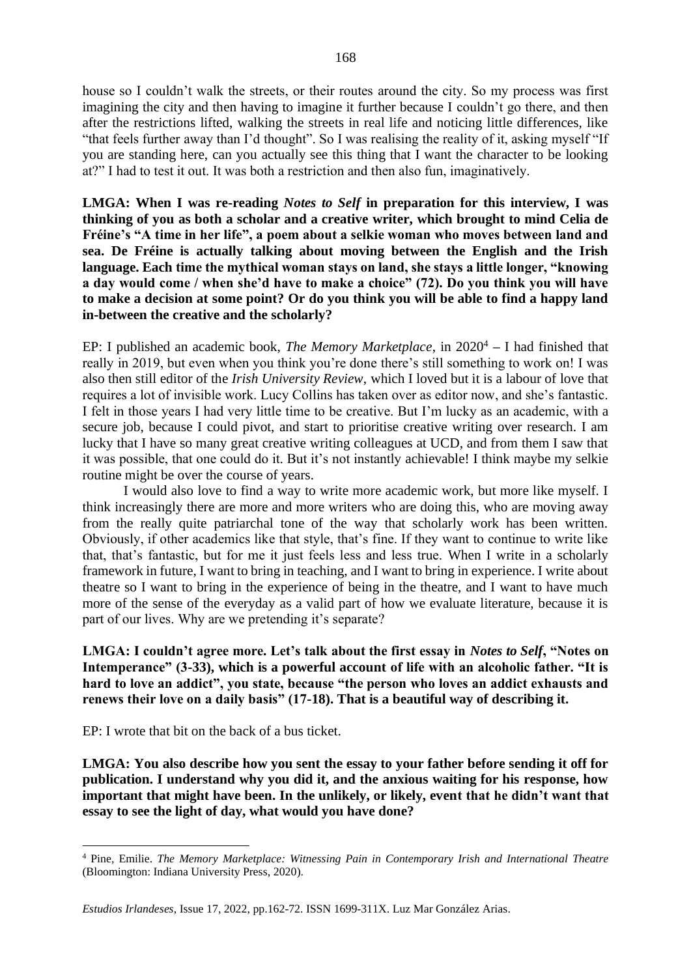house so I couldn't walk the streets, or their routes around the city. So my process was first imagining the city and then having to imagine it further because I couldn't go there, and then after the restrictions lifted, walking the streets in real life and noticing little differences, like "that feels further away than I'd thought". So I was realising the reality of it, asking myself "If you are standing here, can you actually see this thing that I want the character to be looking at?" I had to test it out. It was both a restriction and then also fun, imaginatively.

**LMGA: When I was re-reading** *Notes to Self* **in preparation for this interview, I was thinking of you as both a scholar and a creative writer, which brought to mind Celia de Fréine's "A time in her life", a poem about a selkie woman who moves between land and sea. De Fréine is actually talking about moving between the English and the Irish language. Each time the mythical woman stays on land, she stays a little longer, "knowing a day would come / when she'd have to make a choice" (72). Do you think you will have to make a decision at some point? Or do you think you will be able to find a happy land in-between the creative and the scholarly?**

EP: I published an academic book, *The Memory Marketplace*, in 2020<sup>4</sup> **–** I had finished that really in 2019, but even when you think you're done there's still something to work on! I was also then still editor of the *Irish University Review*, which I loved but it is a labour of love that requires a lot of invisible work. Lucy Collins has taken over as editor now, and she's fantastic. I felt in those years I had very little time to be creative. But I'm lucky as an academic, with a secure job, because I could pivot, and start to prioritise creative writing over research. I am lucky that I have so many great creative writing colleagues at UCD, and from them I saw that it was possible, that one could do it. But it's not instantly achievable! I think maybe my selkie routine might be over the course of years.

I would also love to find a way to write more academic work, but more like myself. I think increasingly there are more and more writers who are doing this, who are moving away from the really quite patriarchal tone of the way that scholarly work has been written. Obviously, if other academics like that style, that's fine. If they want to continue to write like that, that's fantastic, but for me it just feels less and less true. When I write in a scholarly framework in future, I want to bring in teaching, and I want to bring in experience. I write about theatre so I want to bring in the experience of being in the theatre, and I want to have much more of the sense of the everyday as a valid part of how we evaluate literature, because it is part of our lives. Why are we pretending it's separate?

**LMGA: I couldn't agree more. Let's talk about the first essay in** *Notes to Self***, "Notes on Intemperance" (3-33), which is a powerful account of life with an alcoholic father. "It is hard to love an addict", you state, because "the person who loves an addict exhausts and renews their love on a daily basis" (17-18). That is a beautiful way of describing it.** 

EP: I wrote that bit on the back of a bus ticket.

**LMGA: You also describe how you sent the essay to your father before sending it off for publication. I understand why you did it, and the anxious waiting for his response, how important that might have been. In the unlikely, or likely, event that he didn't want that essay to see the light of day, what would you have done?**

<sup>4</sup> Pine, Emilie. *The Memory Marketplace: Witnessing Pain in Contemporary Irish and International Theatre* (Bloomington: Indiana University Press, 2020).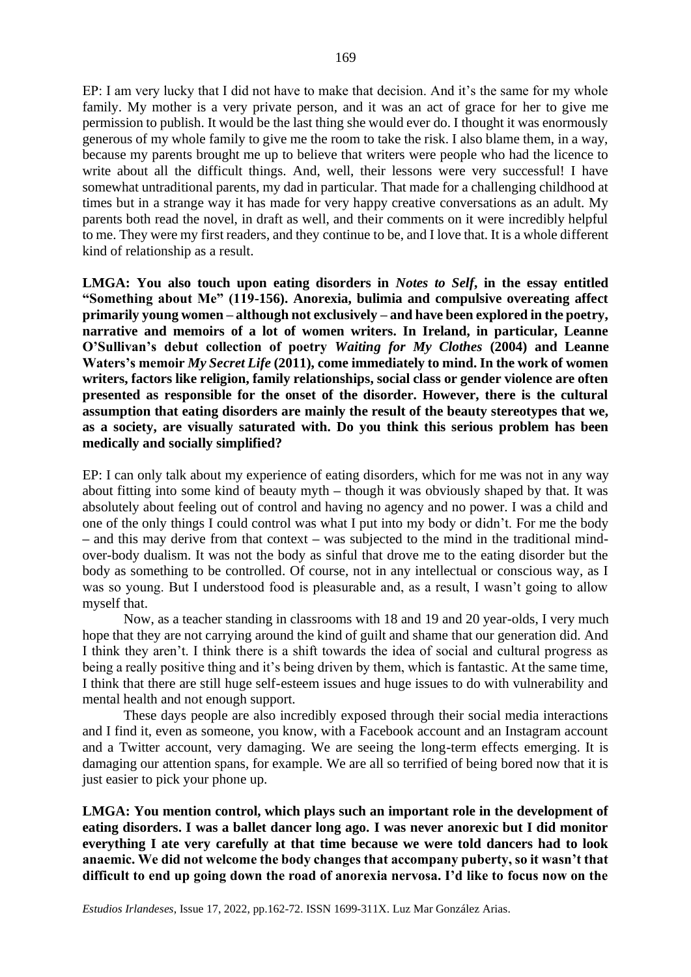EP: I am very lucky that I did not have to make that decision. And it's the same for my whole family. My mother is a very private person, and it was an act of grace for her to give me permission to publish. It would be the last thing she would ever do. I thought it was enormously generous of my whole family to give me the room to take the risk. I also blame them, in a way, because my parents brought me up to believe that writers were people who had the licence to write about all the difficult things. And, well, their lessons were very successful! I have somewhat untraditional parents, my dad in particular. That made for a challenging childhood at times but in a strange way it has made for very happy creative conversations as an adult. My parents both read the novel, in draft as well, and their comments on it were incredibly helpful to me. They were my first readers, and they continue to be, and I love that. It is a whole different kind of relationship as a result.

**LMGA: You also touch upon eating disorders in** *Notes to Self***, in the essay entitled "Something about Me" (119-156). Anorexia, bulimia and compulsive overeating affect primarily young women – although not exclusively – and have been explored in the poetry, narrative and memoirs of a lot of women writers. In Ireland, in particular, Leanne O'Sullivan's debut collection of poetry** *Waiting for My Clothes* **(2004) and Leanne Waters's memoir** *My Secret Life* **(2011), come immediately to mind. In the work of women writers, factors like religion, family relationships, social class or gender violence are often presented as responsible for the onset of the disorder. However, there is the cultural assumption that eating disorders are mainly the result of the beauty stereotypes that we, as a society, are visually saturated with. Do you think this serious problem has been medically and socially simplified?**

EP: I can only talk about my experience of eating disorders, which for me was not in any way about fitting into some kind of beauty myth **–** though it was obviously shaped by that. It was absolutely about feeling out of control and having no agency and no power. I was a child and one of the only things I could control was what I put into my body or didn't. For me the body **–** and this may derive from that context **–** was subjected to the mind in the traditional mindover-body dualism. It was not the body as sinful that drove me to the eating disorder but the body as something to be controlled. Of course, not in any intellectual or conscious way, as I was so young. But I understood food is pleasurable and, as a result, I wasn't going to allow myself that.

Now, as a teacher standing in classrooms with 18 and 19 and 20 year-olds, I very much hope that they are not carrying around the kind of guilt and shame that our generation did. And I think they aren't. I think there is a shift towards the idea of social and cultural progress as being a really positive thing and it's being driven by them, which is fantastic. At the same time, I think that there are still huge self-esteem issues and huge issues to do with vulnerability and mental health and not enough support.

These days people are also incredibly exposed through their social media interactions and I find it, even as someone, you know, with a Facebook account and an Instagram account and a Twitter account, very damaging. We are seeing the long-term effects emerging. It is damaging our attention spans, for example. We are all so terrified of being bored now that it is just easier to pick your phone up.

**LMGA: You mention control, which plays such an important role in the development of eating disorders. I was a ballet dancer long ago. I was never anorexic but I did monitor everything I ate very carefully at that time because we were told dancers had to look anaemic. We did not welcome the body changes that accompany puberty, so it wasn't that difficult to end up going down the road of anorexia nervosa. I'd like to focus now on the**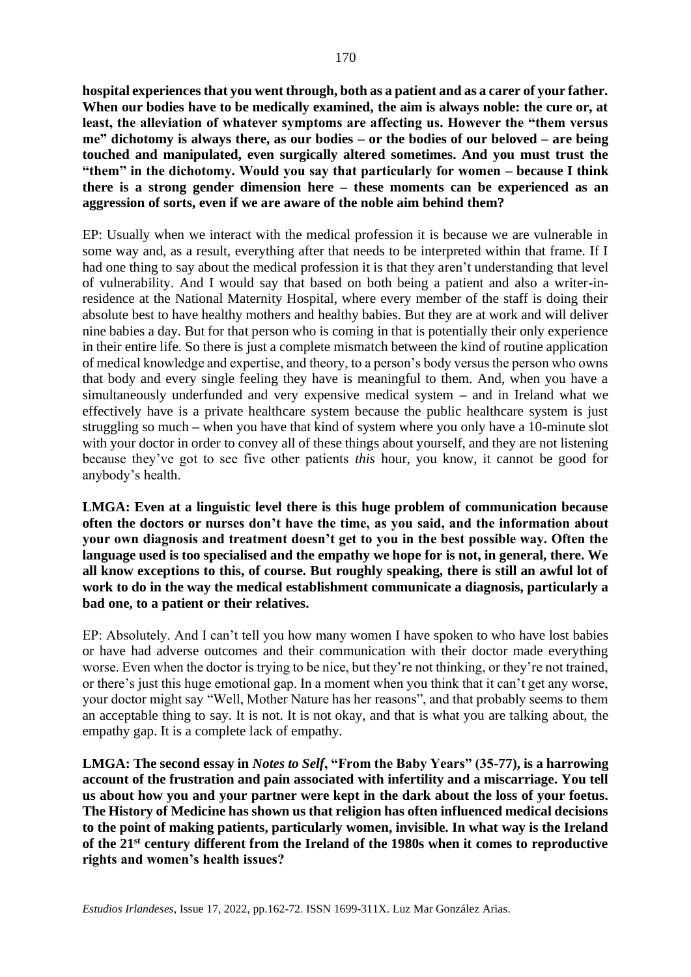**hospital experiences that you went through, both as a patient and as a carer of your father. When our bodies have to be medically examined, the aim is always noble: the cure or, at least, the alleviation of whatever symptoms are affecting us. However the "them versus me" dichotomy is always there, as our bodies – or the bodies of our beloved – are being touched and manipulated, even surgically altered sometimes. And you must trust the "them" in the dichotomy. Would you say that particularly for women – because I think there is a strong gender dimension here – these moments can be experienced as an aggression of sorts, even if we are aware of the noble aim behind them?** 

EP: Usually when we interact with the medical profession it is because we are vulnerable in some way and, as a result, everything after that needs to be interpreted within that frame. If I had one thing to say about the medical profession it is that they aren't understanding that level of vulnerability. And I would say that based on both being a patient and also a writer-inresidence at the National Maternity Hospital, where every member of the staff is doing their absolute best to have healthy mothers and healthy babies. But they are at work and will deliver nine babies a day. But for that person who is coming in that is potentially their only experience in their entire life. So there is just a complete mismatch between the kind of routine application of medical knowledge and expertise, and theory, to a person's body versus the person who owns that body and every single feeling they have is meaningful to them. And, when you have a simultaneously underfunded and very expensive medical system **–** and in Ireland what we effectively have is a private healthcare system because the public healthcare system is just struggling so much **–** when you have that kind of system where you only have a 10-minute slot with your doctor in order to convey all of these things about yourself, and they are not listening because they've got to see five other patients *this* hour, you know, it cannot be good for anybody's health.

**LMGA: Even at a linguistic level there is this huge problem of communication because often the doctors or nurses don't have the time, as you said, and the information about your own diagnosis and treatment doesn't get to you in the best possible way. Often the language used is too specialised and the empathy we hope for is not, in general, there. We all know exceptions to this, of course. But roughly speaking, there is still an awful lot of work to do in the way the medical establishment communicate a diagnosis, particularly a bad one, to a patient or their relatives.** 

EP: Absolutely. And I can't tell you how many women I have spoken to who have lost babies or have had adverse outcomes and their communication with their doctor made everything worse. Even when the doctor is trying to be nice, but they're not thinking, or they're not trained, or there's just this huge emotional gap. In a moment when you think that it can't get any worse, your doctor might say "Well, Mother Nature has her reasons", and that probably seems to them an acceptable thing to say. It is not. It is not okay, and that is what you are talking about, the empathy gap. It is a complete lack of empathy.

**LMGA: The second essay in** *Notes to Self***, "From the Baby Years" (35-77), is a harrowing account of the frustration and pain associated with infertility and a miscarriage. You tell us about how you and your partner were kept in the dark about the loss of your foetus. The History of Medicine has shown us that religion has often influenced medical decisions to the point of making patients, particularly women, invisible. In what way is the Ireland of the 21 st century different from the Ireland of the 1980s when it comes to reproductive rights and women's health issues?**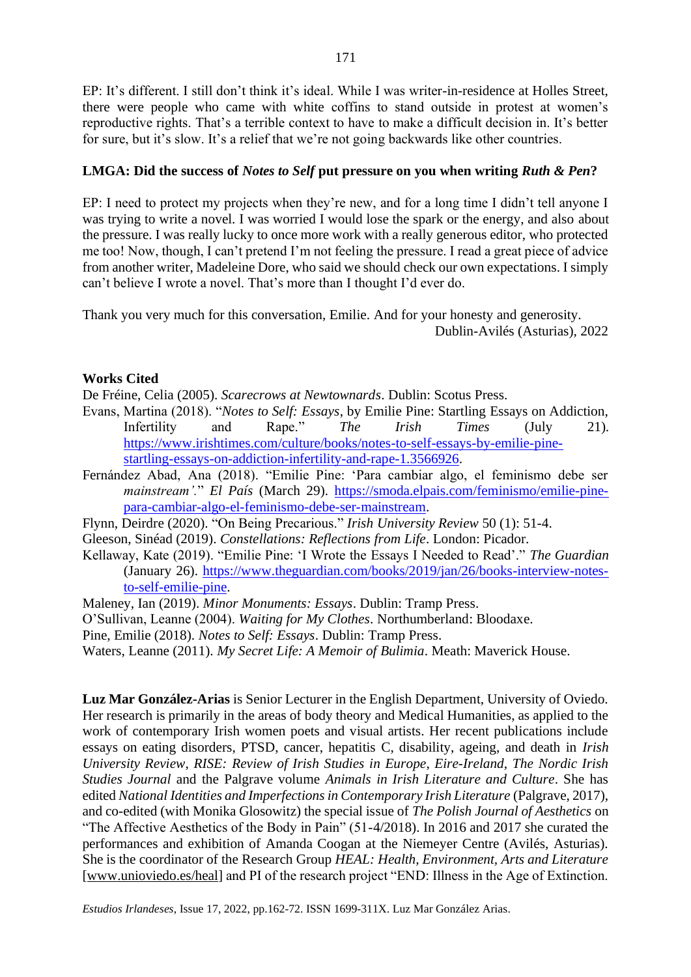EP: It's different. I still don't think it's ideal. While I was writer-in-residence at Holles Street, there were people who came with white coffins to stand outside in protest at women's reproductive rights. That's a terrible context to have to make a difficult decision in. It's better for sure, but it's slow. It's a relief that we're not going backwards like other countries.

### **LMGA: Did the success of** *Notes to Self* **put pressure on you when writing** *Ruth & Pen***?**

EP: I need to protect my projects when they're new, and for a long time I didn't tell anyone I was trying to write a novel. I was worried I would lose the spark or the energy, and also about the pressure. I was really lucky to once more work with a really generous editor, who protected me too! Now, though, I can't pretend I'm not feeling the pressure. I read a great piece of advice from another writer, Madeleine Dore, who said we should check our own expectations. I simply can't believe I wrote a novel. That's more than I thought I'd ever do.

Thank you very much for this conversation, Emilie. And for your honesty and generosity. Dublin-Avilés (Asturias), 2022

## **Works Cited**

De Fréine, Celia (2005). *Scarecrows at Newtownards*. Dublin: Scotus Press.

- Evans, Martina (2018). "*Notes to Self: Essays*, by Emilie Pine: Startling Essays on Addiction, Infertility and Rape." *The Irish Times* (July 21). [https://www.irishtimes.com/culture/books/notes-to-self-essays-by-emilie-pine](https://www.irishtimes.com/culture/books/notes-to-self-essays-by-emilie-pine-startling-essays-on-addiction-infertility-and-rape-1.3566926)[startling-essays-on-addiction-infertility-and-rape-1.3566926.](https://www.irishtimes.com/culture/books/notes-to-self-essays-by-emilie-pine-startling-essays-on-addiction-infertility-and-rape-1.3566926)
- Fernández Abad, Ana (2018). "Emilie Pine: 'Para cambiar algo, el feminismo debe ser *mainstream'.*" *El País* (March 29). [https://smoda.elpais.com/feminismo/emilie-pine](https://smoda.elpais.com/feminismo/emilie-pine-para-cambiar-algo-el-feminismo-debe-ser-mainstream)[para-cambiar-algo-el-feminismo-debe-ser-mainstream.](https://smoda.elpais.com/feminismo/emilie-pine-para-cambiar-algo-el-feminismo-debe-ser-mainstream)
- Flynn, Deirdre (2020). "On Being Precarious." *Irish University Review* 50 (1): 51*-*4.

Gleeson, Sinéad (2019). *Constellations: Reflections from Life*. London: Picador.

- Kellaway, Kate (2019). "Emilie Pine: 'I Wrote the Essays I Needed to Read'." *The Guardian* (January 26). [https://www.theguardian.com/books/2019/jan/26/books-interview-notes](https://www.theguardian.com/books/2019/jan/26/books-interview-notes-to-self-emilie-pine)[to-self-emilie-pine.](https://www.theguardian.com/books/2019/jan/26/books-interview-notes-to-self-emilie-pine)
- Maleney, Ian (2019). *Minor Monuments: Essays*. Dublin: Tramp Press.
- O'Sullivan, Leanne (2004). *Waiting for My Clothes*. Northumberland: Bloodaxe.
- Pine, Emilie (2018). *Notes to Self: Essays*. Dublin: Tramp Press.

Waters, Leanne (2011). *My Secret Life: A Memoir of Bulimia*. Meath: Maverick House.

**Luz Mar González-Arias** is Senior Lecturer in the English Department, University of Oviedo. Her research is primarily in the areas of body theory and Medical Humanities, as applied to the work of contemporary Irish women poets and visual artists. Her recent publications include essays on eating disorders, PTSD, cancer, hepatitis C, disability, ageing, and death in *Irish University Review*, *RISE: Review of Irish Studies in Europe*, *Eire-Ireland*, *The Nordic Irish Studies Journal* and the Palgrave volume *Animals in Irish Literature and Culture*. She has edited *National Identities and Imperfections in Contemporary Irish Literature* (Palgrave, 2017), and co-edited (with Monika Glosowitz) the special issue of *The Polish Journal of Aesthetics* on "The Affective Aesthetics of the Body in Pain" (51-4/2018). In 2016 and 2017 she curated the performances and exhibition of Amanda Coogan at the Niemeyer Centre (Avilés, Asturias). She is the coordinator of the Research Group *HEAL: Health, Environment, Arts and Literature* [\[www.unioviedo.es/heal\]](http://www.unioviedo.es/heal) and PI of the research project "END: Illness in the Age of Extinction.